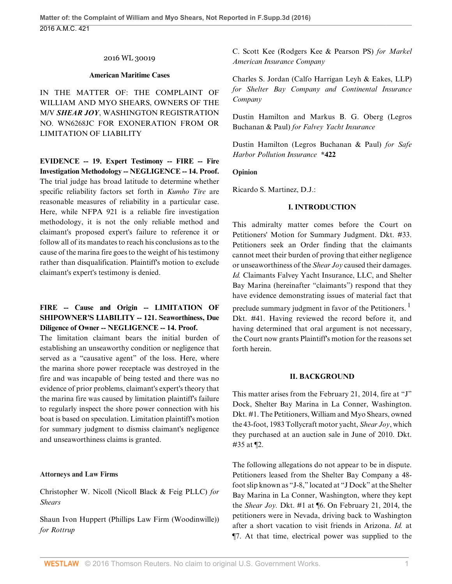#### 2016 WL 30019

#### **American Maritime Cases**

IN THE MATTER OF: THE COMPLAINT OF WILLIAM AND MYO SHEARS, OWNERS OF THE M/V *SHEAR JOY*, WASHINGTON REGISTRATION NO. WN6268JC FOR EXONERATION FROM OR LIMITATION OF LIABILITY

**EVIDENCE -- 19. Expert Testimony -- FIRE -- Fire Investigation Methodology -- NEGLIGENCE -- 14. Proof.** The trial judge has broad latitude to determine whether specific reliability factors set forth in *Kumho Tire* are reasonable measures of reliability in a particular case. Here, while NFPA 921 is a reliable fire investigation methodology, it is not the only reliable method and claimant's proposed expert's failure to reference it or follow all of its mandates to reach his conclusions as to the cause of the marina fire goes to the weight of his testimony rather than disqualification. Plaintiff's motion to exclude claimant's expert's testimony is denied.

# **FIRE -- Cause and Origin -- LIMITATION OF SHIPOWNER'S LIABILITY -- 121. Seaworthiness, Due Diligence of Owner -- NEGLIGENCE -- 14. Proof.**

The limitation claimant bears the initial burden of establishing an unseaworthy condition or negligence that served as a "causative agent" of the loss. Here, where the marina shore power receptacle was destroyed in the fire and was incapable of being tested and there was no evidence of prior problems, claimant's expert's theory that the marina fire was caused by limitation plaintiff's failure to regularly inspect the shore power connection with his boat is based on speculation. Limitation plaintiff's motion for summary judgment to dismiss claimant's negligence and unseaworthiness claims is granted.

#### **Attorneys and Law Firms**

Christopher W. Nicoll (Nicoll Black & Feig PLLC) *for Shears*

Shaun Ivon Huppert (Phillips Law Firm (Woodinwille)) *for Rottrup*

C. Scott Kee (Rodgers Kee & Pearson PS) *for Markel American Insurance Company*

Charles S. Jordan (Calfo Harrigan Leyh & Eakes, LLP) *for Shelter Bay Company and Continental Insurance Company*

Dustin Hamilton and Markus B. G. Oberg (Legros Buchanan & Paul) *for Falvey Yacht Insurance*

Dustin Hamilton (Legros Buchanan & Paul) *for Safe Harbor Pollution Insurance* **\*422**

#### **Opinion**

Ricardo S. Martinez, D.J.:

#### **I. INTRODUCTION**

This admiralty matter comes before the Court on Petitioners' Motion for Summary Judgment. Dkt. #33. Petitioners seek an Order finding that the claimants cannot meet their burden of proving that either negligence or unseaworthiness of the *Shear Joy* caused their damages. *Id.* Claimants Falvey Yacht Insurance, LLC, and Shelter Bay Marina (hereinafter "claimants") respond that they have evidence demonstrating issues of material fact that

preclude summary judgment in favor of the Petitioners.<sup>1</sup> Dkt. #41. Having reviewed the record before it, and having determined that oral argument is not necessary, the Court now grants Plaintiff's motion for the reasons set forth herein.

#### **II. BACKGROUND**

This matter arises from the February 21, 2014, fire at "J" Dock, Shelter Bay Marina in La Conner, Washington. Dkt. #1. The Petitioners, William and Myo Shears, owned the 43-foot, 1983 Tollycraft motor yacht, *Shear Joy*, which they purchased at an auction sale in June of 2010. Dkt. #35 at ¶2.

The following allegations do not appear to be in dispute. Petitioners leased from the Shelter Bay Company a 48 foot slip known as "J-8," located at "J Dock" at the Shelter Bay Marina in La Conner, Washington, where they kept the *Shear Joy.* Dkt. #1 at ¶6. On February 21, 2014, the petitioners were in Nevada, driving back to Washington after a short vacation to visit friends in Arizona. *Id.* at ¶7. At that time, electrical power was supplied to the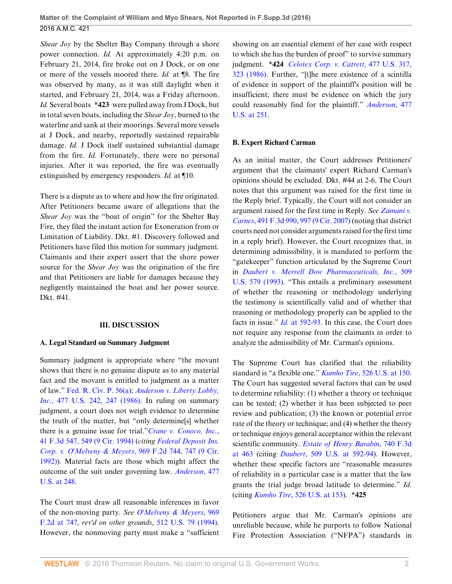*Shear Joy* by the Shelter Bay Company through a shore power connection. *Id.* At approximately 4:20 p.m. on February 21, 2014, fire broke out on J Dock, or on one or more of the vessels moored there. *Id.* at ¶8. The fire was observed by many, as it was still daylight when it started, and February 21, 2014, was a Friday afternoon. *Id.* Several boats **\*423** were pulled away from J Dock, but in total seven boats, including the *Shear Joy*, burned to the waterline and sank at their moorings. Several more vessels at J Dock, and nearby, reportedly sustained repairable damage. *Id.* J Dock itself sustained substantial damage from the fire. *Id.* Fortunately, there were no personal injuries. After it was reported, the fire was eventually extinguished by emergency responders. *Id.* at ¶10.

There is a dispute as to where and how the fire originated. After Petitioners became aware of allegations that the *Shear Joy* was the "boat of origin" for the Shelter Bay Fire, they filed the instant action for Exoneration from or Limitation of Liability. Dkt. #1. Discovery followed and Petitioners have filed this motion for summary judgment. Claimants and their expert assert that the shore power source for the *Shear Joy* was the origination of the fire and that Petitioners are liable for damages because they negligently maintained the boat and her power source. Dkt. #41.

#### **III. DISCUSSION**

## **A. Legal Standard on Summary Judgment**

Summary judgment is appropriate where "the movant shows that there is no genuine dispute as to any material fact and the movant is entitled to judgment as a matter of law." [Fed. R. Civ. P. 56\(a\);](http://www.westlaw.com/Link/Document/FullText?findType=L&pubNum=1000600&cite=USFRCPR56&originatingDoc=I4e633e11183c11e685c89620c5f83c14&refType=RB&originationContext=document&vr=3.0&rs=cblt1.0&transitionType=DocumentItem&contextData=(sc.Search)#co_pp_8b3b0000958a4) *[Anderson v. Liberty Lobby,](http://www.westlaw.com/Link/Document/FullText?findType=Y&serNum=1986132674&pubNum=0000780&originatingDoc=I4e633e11183c11e685c89620c5f83c14&refType=RP&fi=co_pp_sp_780_247&originationContext=document&vr=3.0&rs=cblt1.0&transitionType=DocumentItem&contextData=(sc.Search)#co_pp_sp_780_247) Inc.*[, 477 U.S. 242, 247 \(1986\).](http://www.westlaw.com/Link/Document/FullText?findType=Y&serNum=1986132674&pubNum=0000780&originatingDoc=I4e633e11183c11e685c89620c5f83c14&refType=RP&fi=co_pp_sp_780_247&originationContext=document&vr=3.0&rs=cblt1.0&transitionType=DocumentItem&contextData=(sc.Search)#co_pp_sp_780_247) In ruling on summary judgment, a court does not weigh evidence to determine the truth of the matter, but "only determine[s] whether there is a genuine issue for trial."*[Crane v. Conoco, Inc.](http://www.westlaw.com/Link/Document/FullText?findType=Y&serNum=1994238283&pubNum=0000506&originatingDoc=I4e633e11183c11e685c89620c5f83c14&refType=RP&fi=co_pp_sp_506_549&originationContext=document&vr=3.0&rs=cblt1.0&transitionType=DocumentItem&contextData=(sc.Search)#co_pp_sp_506_549)*, [41 F.3d 547, 549 \(9 Cir. 1994\)](http://www.westlaw.com/Link/Document/FullText?findType=Y&serNum=1994238283&pubNum=0000506&originatingDoc=I4e633e11183c11e685c89620c5f83c14&refType=RP&fi=co_pp_sp_506_549&originationContext=document&vr=3.0&rs=cblt1.0&transitionType=DocumentItem&contextData=(sc.Search)#co_pp_sp_506_549) (*citing [Federal Deposit Ins.](http://www.westlaw.com/Link/Document/FullText?findType=Y&serNum=1992117724&pubNum=0000350&originatingDoc=I4e633e11183c11e685c89620c5f83c14&refType=RP&fi=co_pp_sp_350_747&originationContext=document&vr=3.0&rs=cblt1.0&transitionType=DocumentItem&contextData=(sc.Search)#co_pp_sp_350_747) [Corp. v. O'Melveny & Meyers](http://www.westlaw.com/Link/Document/FullText?findType=Y&serNum=1992117724&pubNum=0000350&originatingDoc=I4e633e11183c11e685c89620c5f83c14&refType=RP&fi=co_pp_sp_350_747&originationContext=document&vr=3.0&rs=cblt1.0&transitionType=DocumentItem&contextData=(sc.Search)#co_pp_sp_350_747)*, 969 F.2d 744, 747 (9 Cir. [1992\)](http://www.westlaw.com/Link/Document/FullText?findType=Y&serNum=1992117724&pubNum=0000350&originatingDoc=I4e633e11183c11e685c89620c5f83c14&refType=RP&fi=co_pp_sp_350_747&originationContext=document&vr=3.0&rs=cblt1.0&transitionType=DocumentItem&contextData=(sc.Search)#co_pp_sp_350_747)). Material facts are those which might affect the outcome of the suit under governing law. *[Anderson](http://www.westlaw.com/Link/Document/FullText?findType=Y&serNum=1986132674&pubNum=0000780&originatingDoc=I4e633e11183c11e685c89620c5f83c14&refType=RP&fi=co_pp_sp_780_248&originationContext=document&vr=3.0&rs=cblt1.0&transitionType=DocumentItem&contextData=(sc.Search)#co_pp_sp_780_248)*, 477 [U.S. at 248.](http://www.westlaw.com/Link/Document/FullText?findType=Y&serNum=1986132674&pubNum=0000780&originatingDoc=I4e633e11183c11e685c89620c5f83c14&refType=RP&fi=co_pp_sp_780_248&originationContext=document&vr=3.0&rs=cblt1.0&transitionType=DocumentItem&contextData=(sc.Search)#co_pp_sp_780_248)

The Court must draw all reasonable inferences in favor of the non-moving party. *See [O'Melveny & Meyers](http://www.westlaw.com/Link/Document/FullText?findType=Y&serNum=1992117724&pubNum=0000350&originatingDoc=I4e633e11183c11e685c89620c5f83c14&refType=RP&fi=co_pp_sp_350_747&originationContext=document&vr=3.0&rs=cblt1.0&transitionType=DocumentItem&contextData=(sc.Search)#co_pp_sp_350_747)*, 969 [F.2d at 747,](http://www.westlaw.com/Link/Document/FullText?findType=Y&serNum=1992117724&pubNum=0000350&originatingDoc=I4e633e11183c11e685c89620c5f83c14&refType=RP&fi=co_pp_sp_350_747&originationContext=document&vr=3.0&rs=cblt1.0&transitionType=DocumentItem&contextData=(sc.Search)#co_pp_sp_350_747) *rev'd on other grounds*, [512 U.S. 79 \(1994\)](http://www.westlaw.com/Link/Document/FullText?findType=Y&serNum=1994127017&pubNum=0000780&originatingDoc=I4e633e11183c11e685c89620c5f83c14&refType=RP&originationContext=document&vr=3.0&rs=cblt1.0&transitionType=DocumentItem&contextData=(sc.Search)). However, the nonmoving party must make a "sufficient showing on an essential element of her case with respect to which she has the burden of proof" to survive summary judgment. **\*424** *[Celotex Corp. v. Catrett](http://www.westlaw.com/Link/Document/FullText?findType=Y&serNum=1986132677&pubNum=0000780&originatingDoc=I4e633e11183c11e685c89620c5f83c14&refType=RP&fi=co_pp_sp_780_323&originationContext=document&vr=3.0&rs=cblt1.0&transitionType=DocumentItem&contextData=(sc.Search)#co_pp_sp_780_323)*, 477 U.S. 317, [323 \(1986\).](http://www.westlaw.com/Link/Document/FullText?findType=Y&serNum=1986132677&pubNum=0000780&originatingDoc=I4e633e11183c11e685c89620c5f83c14&refType=RP&fi=co_pp_sp_780_323&originationContext=document&vr=3.0&rs=cblt1.0&transitionType=DocumentItem&contextData=(sc.Search)#co_pp_sp_780_323) Further, "[t]he mere existence of a scintilla of evidence in support of the plaintiff's position will be insufficient; there must be evidence on which the jury could reasonably find for the plaintiff." *[Anderson](http://www.westlaw.com/Link/Document/FullText?findType=Y&serNum=1986132674&pubNum=0000780&originatingDoc=I4e633e11183c11e685c89620c5f83c14&refType=RP&fi=co_pp_sp_780_251&originationContext=document&vr=3.0&rs=cblt1.0&transitionType=DocumentItem&contextData=(sc.Search)#co_pp_sp_780_251)*, 477 [U.S. at 251](http://www.westlaw.com/Link/Document/FullText?findType=Y&serNum=1986132674&pubNum=0000780&originatingDoc=I4e633e11183c11e685c89620c5f83c14&refType=RP&fi=co_pp_sp_780_251&originationContext=document&vr=3.0&rs=cblt1.0&transitionType=DocumentItem&contextData=(sc.Search)#co_pp_sp_780_251).

## **B. Expert Richard Carman**

As an initial matter, the Court addresses Petitioners' argument that the claimants' expert Richard Carman's opinions should be excluded. Dkt. #44 at 2-6. The Court notes that this argument was raised for the first time in the Reply brief. Typically, the Court will not consider an argument raised for the first time in Reply. *See [Zamani v.](http://www.westlaw.com/Link/Document/FullText?findType=Y&serNum=2012396347&pubNum=0000506&originatingDoc=I4e633e11183c11e685c89620c5f83c14&refType=RP&fi=co_pp_sp_506_997&originationContext=document&vr=3.0&rs=cblt1.0&transitionType=DocumentItem&contextData=(sc.Search)#co_pp_sp_506_997) Carnes*[, 491 F.3d 990, 997 \(9 Cir. 2007\)](http://www.westlaw.com/Link/Document/FullText?findType=Y&serNum=2012396347&pubNum=0000506&originatingDoc=I4e633e11183c11e685c89620c5f83c14&refType=RP&fi=co_pp_sp_506_997&originationContext=document&vr=3.0&rs=cblt1.0&transitionType=DocumentItem&contextData=(sc.Search)#co_pp_sp_506_997) (noting that district courts need not consider arguments raised for the first time in a reply brief). However, the Court recognizes that, in determining admissibility, it is mandated to perform the "gatekeeper" function articulated by the Supreme Court in *[Daubert v. Merrell Dow Pharmaceuticals, Inc.](http://www.westlaw.com/Link/Document/FullText?findType=Y&serNum=1993130674&pubNum=0000780&originatingDoc=I4e633e11183c11e685c89620c5f83c14&refType=RP&originationContext=document&vr=3.0&rs=cblt1.0&transitionType=DocumentItem&contextData=(sc.Search))*, 509 [U.S. 579 \(1993\).](http://www.westlaw.com/Link/Document/FullText?findType=Y&serNum=1993130674&pubNum=0000780&originatingDoc=I4e633e11183c11e685c89620c5f83c14&refType=RP&originationContext=document&vr=3.0&rs=cblt1.0&transitionType=DocumentItem&contextData=(sc.Search)) "This entails a preliminary assessment of whether the reasoning or methodology underlying the testimony is scientifically valid and of whether that reasoning or methodology properly can be applied to the facts in issue." *Id.* [at 592-93](http://www.westlaw.com/Link/Document/FullText?findType=Y&serNum=1993130674&pubNum=0000780&originatingDoc=I4e633e11183c11e685c89620c5f83c14&refType=RP&fi=co_pp_sp_780_592&originationContext=document&vr=3.0&rs=cblt1.0&transitionType=DocumentItem&contextData=(sc.Search)#co_pp_sp_780_592). In this case, the Court does not require any response from the claimants in order to analyze the admissibility of Mr. Carman's opinions.

The Supreme Court has clarified that the reliability standard is "a flexible one." *Kumho Tire*[, 526 U.S. at 150](http://www.westlaw.com/Link/Document/FullText?findType=Y&serNum=1999084423&pubNum=0000780&originatingDoc=I4e633e11183c11e685c89620c5f83c14&refType=RP&fi=co_pp_sp_780_150&originationContext=document&vr=3.0&rs=cblt1.0&transitionType=DocumentItem&contextData=(sc.Search)#co_pp_sp_780_150). The Court has suggested several factors that can be used to determine reliability: (1) whether a theory or technique can be tested; (2) whether it has been subjected to peer review and publication; (3) the known or potential error rate of the theory or technique; and (4) whether the theory or technique enjoys general acceptance within the relevant scientific community. *[Estate of Henry Barabin](http://www.westlaw.com/Link/Document/FullText?findType=Y&serNum=2032544695&pubNum=0000506&originatingDoc=I4e633e11183c11e685c89620c5f83c14&refType=RP&fi=co_pp_sp_506_463&originationContext=document&vr=3.0&rs=cblt1.0&transitionType=DocumentItem&contextData=(sc.Search)#co_pp_sp_506_463)*, 740 F.3d [at 463](http://www.westlaw.com/Link/Document/FullText?findType=Y&serNum=2032544695&pubNum=0000506&originatingDoc=I4e633e11183c11e685c89620c5f83c14&refType=RP&fi=co_pp_sp_506_463&originationContext=document&vr=3.0&rs=cblt1.0&transitionType=DocumentItem&contextData=(sc.Search)#co_pp_sp_506_463) (citing *Daubert*[, 509 U.S. at 592-94](http://www.westlaw.com/Link/Document/FullText?findType=Y&serNum=1993130674&pubNum=0000780&originatingDoc=I4e633e11183c11e685c89620c5f83c14&refType=RP&fi=co_pp_sp_780_592&originationContext=document&vr=3.0&rs=cblt1.0&transitionType=DocumentItem&contextData=(sc.Search)#co_pp_sp_780_592)). However, whether these specific factors are "reasonable measures of reliability in a particular case is a matter that the law grants the trial judge broad latitude to determine." *Id.* (citing *Kumho Tire*[, 526 U.S. at 153\)](http://www.westlaw.com/Link/Document/FullText?findType=Y&serNum=1999084423&pubNum=0000780&originatingDoc=I4e633e11183c11e685c89620c5f83c14&refType=RP&fi=co_pp_sp_780_153&originationContext=document&vr=3.0&rs=cblt1.0&transitionType=DocumentItem&contextData=(sc.Search)#co_pp_sp_780_153). **\*425**

Petitioners argue that Mr. Carman's opinions are unreliable because, while he purports to follow National Fire Protection Association ("NFPA") standards in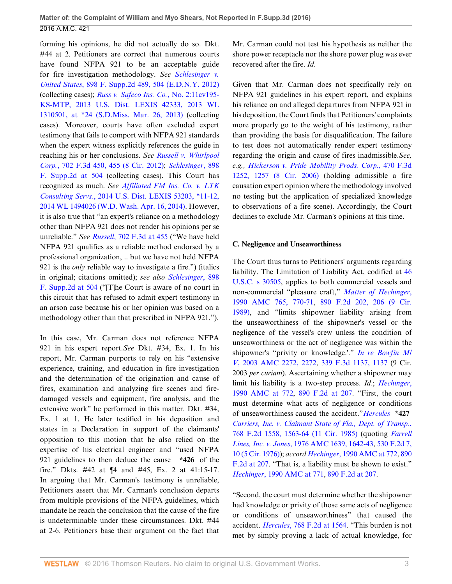forming his opinions, he did not actually do so. Dkt. #44 at 2. Petitioners are correct that numerous courts have found NFPA 921 to be an acceptable guide for fire investigation methodology. *See [Schlesinger v.](http://www.westlaw.com/Link/Document/FullText?findType=Y&serNum=2027071098&pubNum=0004637&originatingDoc=I4e633e11183c11e685c89620c5f83c14&refType=RP&fi=co_pp_sp_4637_504&originationContext=document&vr=3.0&rs=cblt1.0&transitionType=DocumentItem&contextData=(sc.Search)#co_pp_sp_4637_504) United States*[, 898 F. Supp.2d 489, 504 \(E.D.N.Y. 2012\)](http://www.westlaw.com/Link/Document/FullText?findType=Y&serNum=2027071098&pubNum=0004637&originatingDoc=I4e633e11183c11e685c89620c5f83c14&refType=RP&fi=co_pp_sp_4637_504&originationContext=document&vr=3.0&rs=cblt1.0&transitionType=DocumentItem&contextData=(sc.Search)#co_pp_sp_4637_504) (collecting cases); *[Russ v. Safeco Ins. Co.](http://www.westlaw.com/Link/Document/FullText?findType=Y&serNum=2030276979&pubNum=0000999&originatingDoc=I4e633e11183c11e685c89620c5f83c14&refType=RP&originationContext=document&vr=3.0&rs=cblt1.0&transitionType=DocumentItem&contextData=(sc.Search))*, No. 2:11cv195- [KS-MTP, 2013 U.S. Dist. LEXIS 42333, 2013 WL](http://www.westlaw.com/Link/Document/FullText?findType=Y&serNum=2030276979&pubNum=0000999&originatingDoc=I4e633e11183c11e685c89620c5f83c14&refType=RP&originationContext=document&vr=3.0&rs=cblt1.0&transitionType=DocumentItem&contextData=(sc.Search)) [1310501, at \\*24 \(S.D.Miss. Mar. 26, 2013\)](http://www.westlaw.com/Link/Document/FullText?findType=Y&serNum=2030276979&pubNum=0000999&originatingDoc=I4e633e11183c11e685c89620c5f83c14&refType=RP&originationContext=document&vr=3.0&rs=cblt1.0&transitionType=DocumentItem&contextData=(sc.Search)) (collecting cases). Moreover, courts have often excluded expert testimony that fails to comport with NFPA 921 standards when the expert witness explicitly references the guide in reaching his or her conclusions. *See [Russell v. Whirlpool](http://www.westlaw.com/Link/Document/FullText?findType=Y&serNum=2029450524&pubNum=0000506&originatingDoc=I4e633e11183c11e685c89620c5f83c14&refType=RP&fi=co_pp_sp_506_455&originationContext=document&vr=3.0&rs=cblt1.0&transitionType=DocumentItem&contextData=(sc.Search)#co_pp_sp_506_455) Corp.*[, 702 F.3d 450, 455 \(8 Cir. 2012\);](http://www.westlaw.com/Link/Document/FullText?findType=Y&serNum=2029450524&pubNum=0000506&originatingDoc=I4e633e11183c11e685c89620c5f83c14&refType=RP&fi=co_pp_sp_506_455&originationContext=document&vr=3.0&rs=cblt1.0&transitionType=DocumentItem&contextData=(sc.Search)#co_pp_sp_506_455) *[Schlesinger](http://www.westlaw.com/Link/Document/FullText?findType=Y&serNum=2027071098&pubNum=0004637&originatingDoc=I4e633e11183c11e685c89620c5f83c14&refType=RP&fi=co_pp_sp_4637_504&originationContext=document&vr=3.0&rs=cblt1.0&transitionType=DocumentItem&contextData=(sc.Search)#co_pp_sp_4637_504)*, 898 [F. Supp.2d at 504](http://www.westlaw.com/Link/Document/FullText?findType=Y&serNum=2027071098&pubNum=0004637&originatingDoc=I4e633e11183c11e685c89620c5f83c14&refType=RP&fi=co_pp_sp_4637_504&originationContext=document&vr=3.0&rs=cblt1.0&transitionType=DocumentItem&contextData=(sc.Search)#co_pp_sp_4637_504) (collecting cases). This Court has recognized as much. *See [Affiliated FM Ins. Co. v. LTK](http://www.westlaw.com/Link/Document/FullText?findType=Y&serNum=2033172074&pubNum=0000999&originatingDoc=I4e633e11183c11e685c89620c5f83c14&refType=RP&originationContext=document&vr=3.0&rs=cblt1.0&transitionType=DocumentItem&contextData=(sc.Search)) Consulting Servs.*[, 2014 U.S. Dist. LEXIS 53203, \\*11-12,](http://www.westlaw.com/Link/Document/FullText?findType=Y&serNum=2033172074&pubNum=0000999&originatingDoc=I4e633e11183c11e685c89620c5f83c14&refType=RP&originationContext=document&vr=3.0&rs=cblt1.0&transitionType=DocumentItem&contextData=(sc.Search)) [2014 WL 1494026 \(W.D. Wash. Apr. 16, 2014\).](http://www.westlaw.com/Link/Document/FullText?findType=Y&serNum=2033172074&pubNum=0000999&originatingDoc=I4e633e11183c11e685c89620c5f83c14&refType=RP&originationContext=document&vr=3.0&rs=cblt1.0&transitionType=DocumentItem&contextData=(sc.Search)) However, it is also true that "an expert's reliance on a methodology other than NFPA 921 does not render his opinions per se unreliable." *See Russell*[, 702 F.3d at 455](http://www.westlaw.com/Link/Document/FullText?findType=Y&serNum=2029450524&pubNum=0000506&originatingDoc=I4e633e11183c11e685c89620c5f83c14&refType=RP&fi=co_pp_sp_506_455&originationContext=document&vr=3.0&rs=cblt1.0&transitionType=DocumentItem&contextData=(sc.Search)#co_pp_sp_506_455) ("We have held NFPA 921 qualifies as a reliable method endorsed by a professional organization, .. but we have not held NFPA 921 is the *only* reliable way to investigate a fire.") (italics in original; citations omitted); *see also [Schlesinger](http://www.westlaw.com/Link/Document/FullText?findType=Y&serNum=2027071098&pubNum=0004637&originatingDoc=I4e633e11183c11e685c89620c5f83c14&refType=RP&fi=co_pp_sp_4637_504&originationContext=document&vr=3.0&rs=cblt1.0&transitionType=DocumentItem&contextData=(sc.Search)#co_pp_sp_4637_504)*, 898 [F. Supp.2d at 504](http://www.westlaw.com/Link/Document/FullText?findType=Y&serNum=2027071098&pubNum=0004637&originatingDoc=I4e633e11183c11e685c89620c5f83c14&refType=RP&fi=co_pp_sp_4637_504&originationContext=document&vr=3.0&rs=cblt1.0&transitionType=DocumentItem&contextData=(sc.Search)#co_pp_sp_4637_504) ("[T]he Court is aware of no court in this circuit that has refused to admit expert testimony in an arson case because his or her opinion was based on a methodology other than that prescribed in NFPA 921.").

In this case, Mr. Carman does not reference NFPA 921 in his expert report.*See* Dkt. #34, Ex. 1. In his report, Mr. Carman purports to rely on his "extensive experience, training, and education in fire investigation and the determination of the origination and cause of fires, examination and analyzing fire scenes and firedamaged vessels and equipment, fire analysis, and the extensive work" he performed in this matter. Dkt. #34, Ex. 1 at 1. He later testified in his deposition and states in a Declaration in support of the claimants' opposition to this motion that he also relied on the expertise of his electrical engineer and "used NFPA 921 guidelines to then deduce the cause **\*426** of the fire." Dkts. #42 at ¶4 and #45, Ex. 2 at 41:15-17. In arguing that Mr. Carman's testimony is unreliable, Petitioners assert that Mr. Carman's conclusion departs from multiple provisions of the NFPA guidelines, which mandate he reach the conclusion that the cause of the fire is undeterminable under these circumstances. Dkt. #44 at 2-6. Petitioners base their argument on the fact that

Mr. Carman could not test his hypothesis as neither the shore power receptacle nor the shore power plug was ever recovered after the fire. *Id.*

Given that Mr. Carman does not specifically rely on NFPA 921 guidelines in his expert report, and explains his reliance on and alleged departures from NFPA 921 in his deposition, the Court finds that Petitioners' complaints more properly go to the weight of his testimony, rather than providing the basis for disqualification. The failure to test does not automatically render expert testimony regarding the origin and cause of fires inadmissible.*See, e.g., [Hickerson v. Pride Mobility Prods. Corp.](http://www.westlaw.com/Link/Document/FullText?findType=Y&serNum=2010878591&pubNum=0000506&originatingDoc=I4e633e11183c11e685c89620c5f83c14&refType=RP&fi=co_pp_sp_506_1257&originationContext=document&vr=3.0&rs=cblt1.0&transitionType=DocumentItem&contextData=(sc.Search)#co_pp_sp_506_1257)*, 470 F.3d [1252, 1257 \(8 Cir. 2006\)](http://www.westlaw.com/Link/Document/FullText?findType=Y&serNum=2010878591&pubNum=0000506&originatingDoc=I4e633e11183c11e685c89620c5f83c14&refType=RP&fi=co_pp_sp_506_1257&originationContext=document&vr=3.0&rs=cblt1.0&transitionType=DocumentItem&contextData=(sc.Search)#co_pp_sp_506_1257) (holding admissible a fire causation expert opinion where the methodology involved no testing but the application of specialized knowledge to observations of a fire scene). Accordingly, the Court declines to exclude Mr. Carman's opinions at this time.

#### **C. Negligence and Unseaworthiness**

The Court thus turns to Petitioners' arguments regarding liability. The Limitation of Liability Act, codified at [46](http://www.westlaw.com/Link/Document/FullText?findType=L&pubNum=1000546&cite=46USCAS30505&originatingDoc=I4e633e11183c11e685c89620c5f83c14&refType=LQ&originationContext=document&vr=3.0&rs=cblt1.0&transitionType=DocumentItem&contextData=(sc.Search)) [U.S.C. s 30505,](http://www.westlaw.com/Link/Document/FullText?findType=L&pubNum=1000546&cite=46USCAS30505&originatingDoc=I4e633e11183c11e685c89620c5f83c14&refType=LQ&originationContext=document&vr=3.0&rs=cblt1.0&transitionType=DocumentItem&contextData=(sc.Search)) applies to both commercial vessels and non-commercial "pleasure craft," *[Matter of Hechinger](http://www.westlaw.com/Link/Document/FullText?findType=Y&pubNum=0000109&cite=1990AMC765&originatingDoc=I4e633e11183c11e685c89620c5f83c14&refType=AM&fi=co_pp_sp_109_770&originationContext=document&vr=3.0&rs=cblt1.0&transitionType=DocumentItem&contextData=(sc.Search)#co_pp_sp_109_770)*, [1990 AMC 765, 770-71,](http://www.westlaw.com/Link/Document/FullText?findType=Y&pubNum=0000109&cite=1990AMC765&originatingDoc=I4e633e11183c11e685c89620c5f83c14&refType=AM&fi=co_pp_sp_109_770&originationContext=document&vr=3.0&rs=cblt1.0&transitionType=DocumentItem&contextData=(sc.Search)#co_pp_sp_109_770) [890 F.2d 202, 206 \(9 Cir.](http://www.westlaw.com/Link/Document/FullText?findType=Y&serNum=1989166765&pubNum=0000350&originatingDoc=I4e633e11183c11e685c89620c5f83c14&refType=RP&fi=co_pp_sp_350_206&originationContext=document&vr=3.0&rs=cblt1.0&transitionType=DocumentItem&contextData=(sc.Search)#co_pp_sp_350_206) [1989\)](http://www.westlaw.com/Link/Document/FullText?findType=Y&serNum=1989166765&pubNum=0000350&originatingDoc=I4e633e11183c11e685c89620c5f83c14&refType=RP&fi=co_pp_sp_350_206&originationContext=document&vr=3.0&rs=cblt1.0&transitionType=DocumentItem&contextData=(sc.Search)#co_pp_sp_350_206), and "limits shipowner liability arising from the unseaworthiness of the shipowner's vessel or the negligence of the vessel's crew unless the condition of unseaworthiness or the act of negligence was within the shipowner's "privity or knowledge.'." *[In re Bowfin M/](http://www.westlaw.com/Link/Document/FullText?findType=Y&pubNum=0000109&cite=2003AMC2272&originatingDoc=I4e633e11183c11e685c89620c5f83c14&refType=AM&originationContext=document&vr=3.0&rs=cblt1.0&transitionType=DocumentItem&contextData=(sc.Search)) V*[, 2003 AMC 2272, 2272,](http://www.westlaw.com/Link/Document/FullText?findType=Y&pubNum=0000109&cite=2003AMC2272&originatingDoc=I4e633e11183c11e685c89620c5f83c14&refType=AM&originationContext=document&vr=3.0&rs=cblt1.0&transitionType=DocumentItem&contextData=(sc.Search)) [339 F.3d 1137, 1137](http://www.westlaw.com/Link/Document/FullText?findType=Y&serNum=2003559262&pubNum=0000506&originatingDoc=I4e633e11183c11e685c89620c5f83c14&refType=RP&originationContext=document&vr=3.0&rs=cblt1.0&transitionType=DocumentItem&contextData=(sc.Search)) (9 Cir. 2003 *per curiam*). Ascertaining whether a shipowner may limit his liability is a two-step process. *Id.*; *[Hechinger](http://www.westlaw.com/Link/Document/FullText?findType=Y&pubNum=0000109&cite=1990AMC772&originatingDoc=I4e633e11183c11e685c89620c5f83c14&refType=AM&fi=co_pp_sp_109_772&originationContext=document&vr=3.0&rs=cblt1.0&transitionType=DocumentItem&contextData=(sc.Search)#co_pp_sp_109_772)*, [1990 AMC at 772](http://www.westlaw.com/Link/Document/FullText?findType=Y&pubNum=0000109&cite=1990AMC772&originatingDoc=I4e633e11183c11e685c89620c5f83c14&refType=AM&fi=co_pp_sp_109_772&originationContext=document&vr=3.0&rs=cblt1.0&transitionType=DocumentItem&contextData=(sc.Search)#co_pp_sp_109_772), [890 F.2d at 207](http://www.westlaw.com/Link/Document/FullText?findType=Y&serNum=1989166765&pubNum=0000350&originatingDoc=I4e633e11183c11e685c89620c5f83c14&refType=RP&fi=co_pp_sp_350_207&originationContext=document&vr=3.0&rs=cblt1.0&transitionType=DocumentItem&contextData=(sc.Search)#co_pp_sp_350_207). "First, the court must determine what acts of negligence or conditions of unseaworthiness caused the accident."*[Hercules](http://www.westlaw.com/Link/Document/FullText?findType=Y&serNum=1985140114&pubNum=0000350&originatingDoc=I4e633e11183c11e685c89620c5f83c14&refType=RP&fi=co_pp_sp_350_1563&originationContext=document&vr=3.0&rs=cblt1.0&transitionType=DocumentItem&contextData=(sc.Search)#co_pp_sp_350_1563)* **\*427** *[Carriers, Inc. v. Claimant State of Fla., Dept. of Transp.](http://www.westlaw.com/Link/Document/FullText?findType=Y&serNum=1985140114&pubNum=0000350&originatingDoc=I4e633e11183c11e685c89620c5f83c14&refType=RP&fi=co_pp_sp_350_1563&originationContext=document&vr=3.0&rs=cblt1.0&transitionType=DocumentItem&contextData=(sc.Search)#co_pp_sp_350_1563)*, [768 F.2d 1558, 1563-64 \(11 Cir. 1985\)](http://www.westlaw.com/Link/Document/FullText?findType=Y&serNum=1985140114&pubNum=0000350&originatingDoc=I4e633e11183c11e685c89620c5f83c14&refType=RP&fi=co_pp_sp_350_1563&originationContext=document&vr=3.0&rs=cblt1.0&transitionType=DocumentItem&contextData=(sc.Search)#co_pp_sp_350_1563) (quoting *[Farrell](http://www.westlaw.com/Link/Document/FullText?findType=Y&pubNum=0000109&cite=1976AMC1639&originatingDoc=I4e633e11183c11e685c89620c5f83c14&refType=AM&fi=co_pp_sp_109_1642&originationContext=document&vr=3.0&rs=cblt1.0&transitionType=DocumentItem&contextData=(sc.Search)#co_pp_sp_109_1642) Lines, Inc. v. Jones*[, 1976 AMC 1639, 1642-43,](http://www.westlaw.com/Link/Document/FullText?findType=Y&pubNum=0000109&cite=1976AMC1639&originatingDoc=I4e633e11183c11e685c89620c5f83c14&refType=AM&fi=co_pp_sp_109_1642&originationContext=document&vr=3.0&rs=cblt1.0&transitionType=DocumentItem&contextData=(sc.Search)#co_pp_sp_109_1642) [530 F.2d 7,](http://www.westlaw.com/Link/Document/FullText?findType=Y&serNum=1976145227&pubNum=0000350&originatingDoc=I4e633e11183c11e685c89620c5f83c14&refType=RP&fi=co_pp_sp_350_10&originationContext=document&vr=3.0&rs=cblt1.0&transitionType=DocumentItem&contextData=(sc.Search)#co_pp_sp_350_10) [10 \(5 Cir. 1976\)](http://www.westlaw.com/Link/Document/FullText?findType=Y&serNum=1976145227&pubNum=0000350&originatingDoc=I4e633e11183c11e685c89620c5f83c14&refType=RP&fi=co_pp_sp_350_10&originationContext=document&vr=3.0&rs=cblt1.0&transitionType=DocumentItem&contextData=(sc.Search)#co_pp_sp_350_10)); *accord Hechinger*[, 1990 AMC at 772](http://www.westlaw.com/Link/Document/FullText?findType=Y&pubNum=0000109&cite=1990AMC772&originatingDoc=I4e633e11183c11e685c89620c5f83c14&refType=AM&fi=co_pp_sp_109_772&originationContext=document&vr=3.0&rs=cblt1.0&transitionType=DocumentItem&contextData=(sc.Search)#co_pp_sp_109_772), [890](http://www.westlaw.com/Link/Document/FullText?findType=Y&serNum=1989166765&pubNum=0000350&originatingDoc=I4e633e11183c11e685c89620c5f83c14&refType=RP&fi=co_pp_sp_350_207&originationContext=document&vr=3.0&rs=cblt1.0&transitionType=DocumentItem&contextData=(sc.Search)#co_pp_sp_350_207) [F.2d at 207.](http://www.westlaw.com/Link/Document/FullText?findType=Y&serNum=1989166765&pubNum=0000350&originatingDoc=I4e633e11183c11e685c89620c5f83c14&refType=RP&fi=co_pp_sp_350_207&originationContext=document&vr=3.0&rs=cblt1.0&transitionType=DocumentItem&contextData=(sc.Search)#co_pp_sp_350_207) "That is, a liability must be shown to exist." *Hechinger*[, 1990 AMC at 771,](http://www.westlaw.com/Link/Document/FullText?findType=Y&pubNum=0000109&cite=1990AMC771&originatingDoc=I4e633e11183c11e685c89620c5f83c14&refType=AM&fi=co_pp_sp_109_771&originationContext=document&vr=3.0&rs=cblt1.0&transitionType=DocumentItem&contextData=(sc.Search)#co_pp_sp_109_771) [890 F.2d at 207.](http://www.westlaw.com/Link/Document/FullText?findType=Y&serNum=1989166765&pubNum=0000350&originatingDoc=I4e633e11183c11e685c89620c5f83c14&refType=RP&fi=co_pp_sp_350_207&originationContext=document&vr=3.0&rs=cblt1.0&transitionType=DocumentItem&contextData=(sc.Search)#co_pp_sp_350_207)

"Second, the court must determine whether the shipowner had knowledge or privity of those same acts of negligence or conditions of unseaworthiness" that caused the accident. *Hercules*[, 768 F.2d at 1564](http://www.westlaw.com/Link/Document/FullText?findType=Y&serNum=1985140114&pubNum=0000350&originatingDoc=I4e633e11183c11e685c89620c5f83c14&refType=RP&fi=co_pp_sp_350_1564&originationContext=document&vr=3.0&rs=cblt1.0&transitionType=DocumentItem&contextData=(sc.Search)#co_pp_sp_350_1564). "This burden is not met by simply proving a lack of actual knowledge, for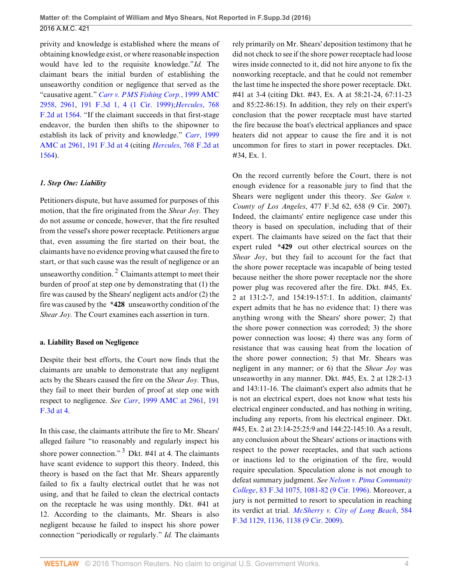privity and knowledge is established where the means of obtaining knowledge exist, or where reasonable inspection would have led to the requisite knowledge."*Id.* The claimant bears the initial burden of establishing the unseaworthy condition or negligence that served as the "causative agent." *[Carr v. PMS Fishing Corp.](http://www.westlaw.com/Link/Document/FullText?findType=Y&pubNum=0000109&cite=1999AMC2958&originatingDoc=I4e633e11183c11e685c89620c5f83c14&refType=AM&fi=co_pp_sp_109_2961&originationContext=document&vr=3.0&rs=cblt1.0&transitionType=DocumentItem&contextData=(sc.Search)#co_pp_sp_109_2961)*, 1999 AMC [2958, 2961,](http://www.westlaw.com/Link/Document/FullText?findType=Y&pubNum=0000109&cite=1999AMC2958&originatingDoc=I4e633e11183c11e685c89620c5f83c14&refType=AM&fi=co_pp_sp_109_2961&originationContext=document&vr=3.0&rs=cblt1.0&transitionType=DocumentItem&contextData=(sc.Search)#co_pp_sp_109_2961) [191 F.3d 1, 4 \(1 Cir. 1999\);](http://www.westlaw.com/Link/Document/FullText?findType=Y&serNum=1999199616&pubNum=0000506&originatingDoc=I4e633e11183c11e685c89620c5f83c14&refType=RP&fi=co_pp_sp_506_4&originationContext=document&vr=3.0&rs=cblt1.0&transitionType=DocumentItem&contextData=(sc.Search)#co_pp_sp_506_4)*[Hercules](http://www.westlaw.com/Link/Document/FullText?findType=Y&serNum=1985140114&pubNum=0000350&originatingDoc=I4e633e11183c11e685c89620c5f83c14&refType=RP&fi=co_pp_sp_350_1564&originationContext=document&vr=3.0&rs=cblt1.0&transitionType=DocumentItem&contextData=(sc.Search)#co_pp_sp_350_1564)*, 768 [F.2d at 1564](http://www.westlaw.com/Link/Document/FullText?findType=Y&serNum=1985140114&pubNum=0000350&originatingDoc=I4e633e11183c11e685c89620c5f83c14&refType=RP&fi=co_pp_sp_350_1564&originationContext=document&vr=3.0&rs=cblt1.0&transitionType=DocumentItem&contextData=(sc.Search)#co_pp_sp_350_1564). "If the claimant succeeds in that first-stage endeavor, the burden then shifts to the shipowner to establish its lack of privity and knowledge." *Carr*[, 1999](http://www.westlaw.com/Link/Document/FullText?findType=Y&pubNum=0000109&cite=1999AMC2961&originatingDoc=I4e633e11183c11e685c89620c5f83c14&refType=AM&fi=co_pp_sp_109_2961&originationContext=document&vr=3.0&rs=cblt1.0&transitionType=DocumentItem&contextData=(sc.Search)#co_pp_sp_109_2961) [AMC at 2961](http://www.westlaw.com/Link/Document/FullText?findType=Y&pubNum=0000109&cite=1999AMC2961&originatingDoc=I4e633e11183c11e685c89620c5f83c14&refType=AM&fi=co_pp_sp_109_2961&originationContext=document&vr=3.0&rs=cblt1.0&transitionType=DocumentItem&contextData=(sc.Search)#co_pp_sp_109_2961), [191 F.3d at 4](http://www.westlaw.com/Link/Document/FullText?findType=Y&serNum=1999199616&pubNum=0000506&originatingDoc=I4e633e11183c11e685c89620c5f83c14&refType=RP&fi=co_pp_sp_506_4&originationContext=document&vr=3.0&rs=cblt1.0&transitionType=DocumentItem&contextData=(sc.Search)#co_pp_sp_506_4) (citing *Hercules*[, 768 F.2d at](http://www.westlaw.com/Link/Document/FullText?findType=Y&serNum=1985140114&pubNum=0000350&originatingDoc=I4e633e11183c11e685c89620c5f83c14&refType=RP&fi=co_pp_sp_350_1564&originationContext=document&vr=3.0&rs=cblt1.0&transitionType=DocumentItem&contextData=(sc.Search)#co_pp_sp_350_1564) [1564](http://www.westlaw.com/Link/Document/FullText?findType=Y&serNum=1985140114&pubNum=0000350&originatingDoc=I4e633e11183c11e685c89620c5f83c14&refType=RP&fi=co_pp_sp_350_1564&originationContext=document&vr=3.0&rs=cblt1.0&transitionType=DocumentItem&contextData=(sc.Search)#co_pp_sp_350_1564)).

## *1. Step One: Liability*

Petitioners dispute, but have assumed for purposes of this motion, that the fire originated from the *Shear Joy.* They do not assume or concede, however, that the fire resulted from the vessel's shore power receptacle. Petitioners argue that, even assuming the fire started on their boat, the claimants have no evidence proving what caused the fire to start, or that such cause was the result of negligence or an unseaworthy condition.<sup>2</sup> Claimants attempt to meet their burden of proof at step one by demonstrating that (1) the fire was caused by the Shears' negligent acts and/or (2) the fire was caused by the **\*428** unseaworthy condition of the *Shear Joy.* The Court examines each assertion in turn.

## **a. Liability Based on Negligence**

Despite their best efforts, the Court now finds that the claimants are unable to demonstrate that any negligent acts by the Shears caused the fire on the *Shear Joy.* Thus, they fail to meet their burden of proof at step one with respect to negligence. *See Carr*[, 1999 AMC at 2961](http://www.westlaw.com/Link/Document/FullText?findType=Y&pubNum=0000109&cite=1999AMC2961&originatingDoc=I4e633e11183c11e685c89620c5f83c14&refType=AM&fi=co_pp_sp_109_2961&originationContext=document&vr=3.0&rs=cblt1.0&transitionType=DocumentItem&contextData=(sc.Search)#co_pp_sp_109_2961), [191](http://www.westlaw.com/Link/Document/FullText?findType=Y&serNum=1999199616&pubNum=0000506&originatingDoc=I4e633e11183c11e685c89620c5f83c14&refType=RP&fi=co_pp_sp_506_4&originationContext=document&vr=3.0&rs=cblt1.0&transitionType=DocumentItem&contextData=(sc.Search)#co_pp_sp_506_4) [F.3d at 4](http://www.westlaw.com/Link/Document/FullText?findType=Y&serNum=1999199616&pubNum=0000506&originatingDoc=I4e633e11183c11e685c89620c5f83c14&refType=RP&fi=co_pp_sp_506_4&originationContext=document&vr=3.0&rs=cblt1.0&transitionType=DocumentItem&contextData=(sc.Search)#co_pp_sp_506_4).

In this case, the claimants attribute the fire to Mr. Shears' alleged failure "to reasonably and regularly inspect his shore power connection."  $3$  Dkt. #41 at 4. The claimants have scant evidence to support this theory. Indeed, this theory is based on the fact that Mr. Shears apparently failed to fix a faulty electrical outlet that he was not using, and that he failed to clean the electrical contacts on the receptacle he was using monthly. Dkt. #41 at 12. According to the claimants, Mr. Shears is also negligent because he failed to inspect his shore power connection "periodically or regularly." *Id.* The claimants rely primarily on Mr. Shears' deposition testimony that he did not check to see if the shore power receptacle had loose wires inside connected to it, did not hire anyone to fix the nonworking receptacle, and that he could not remember the last time he inspected the shore power receptacle. Dkt. #41 at 3-4 (citing Dkt. #43, Ex. A at 58:21-24, 67:11-23 and 85:22-86:15). In addition, they rely on their expert's conclusion that the power receptacle must have started the fire because the boat's electrical appliances and space heaters did not appear to cause the fire and it is not uncommon for fires to start in power receptacles. Dkt. #34, Ex. 1.

On the record currently before the Court, there is not enough evidence for a reasonable jury to find that the Shears were negligent under this theory. *See Galen v. County of Los Angeles*, 477 F.3d 62, 658 (9 Cir. 2007). Indeed, the claimants' entire negligence case under this theory is based on speculation, including that of their expert. The claimants have seized on the fact that their expert ruled **\*429** out other electrical sources on the *Shear Joy*, but they fail to account for the fact that the shore power receptacle was incapable of being tested because neither the shore power receptacle nor the shore power plug was recovered after the fire. Dkt. #45, Ex. 2 at 131:2-7, and 154:19-157:1. In addition, claimants' expert admits that he has no evidence that: 1) there was anything wrong with the Shears' shore power; 2) that the shore power connection was corroded; 3) the shore power connection was loose; 4) there was any form of resistance that was causing heat from the location of the shore power connection; 5) that Mr. Shears was negligent in any manner; or 6) that the *Shear Joy* was unseaworthy in any manner. Dkt. #45, Ex. 2 at 128:2-13 and 143:11-16. The claimant's expert also admits that he is not an electrical expert, does not know what tests his electrical engineer conducted, and has nothing in writing, including any reports, from his electrical engineer. Dkt. #45, Ex. 2 at 23:14-25:25:9 and 144:22-145:10. As a result, any conclusion about the Shears' actions or inactions with respect to the power receptacles, and that such actions or inactions led to the origination of the fire, would require speculation. Speculation alone is not enough to defeat summary judgment. *See [Nelson v. Pima Community](http://www.westlaw.com/Link/Document/FullText?findType=Y&serNum=1996109160&pubNum=0000506&originatingDoc=I4e633e11183c11e685c89620c5f83c14&refType=RP&fi=co_pp_sp_506_1081&originationContext=document&vr=3.0&rs=cblt1.0&transitionType=DocumentItem&contextData=(sc.Search)#co_pp_sp_506_1081) College*[, 83 F.3d 1075, 1081-82 \(9 Cir. 1996\)](http://www.westlaw.com/Link/Document/FullText?findType=Y&serNum=1996109160&pubNum=0000506&originatingDoc=I4e633e11183c11e685c89620c5f83c14&refType=RP&fi=co_pp_sp_506_1081&originationContext=document&vr=3.0&rs=cblt1.0&transitionType=DocumentItem&contextData=(sc.Search)#co_pp_sp_506_1081). Moreover, a jury is not permitted to resort to speculation in reaching its verdict at trial. *[McSherry v. City of Long Beach](http://www.westlaw.com/Link/Document/FullText?findType=Y&serNum=2020147618&pubNum=0000506&originatingDoc=I4e633e11183c11e685c89620c5f83c14&refType=RP&fi=co_pp_sp_506_1136&originationContext=document&vr=3.0&rs=cblt1.0&transitionType=DocumentItem&contextData=(sc.Search)#co_pp_sp_506_1136)*, 584 [F.3d 1129, 1136, 1138 \(9 Cir. 2009\)](http://www.westlaw.com/Link/Document/FullText?findType=Y&serNum=2020147618&pubNum=0000506&originatingDoc=I4e633e11183c11e685c89620c5f83c14&refType=RP&fi=co_pp_sp_506_1136&originationContext=document&vr=3.0&rs=cblt1.0&transitionType=DocumentItem&contextData=(sc.Search)#co_pp_sp_506_1136).